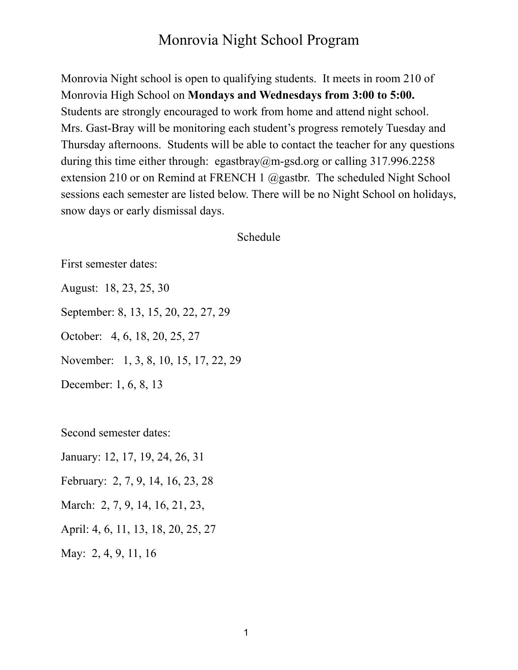Monrovia Night school is open to qualifying students. It meets in room 210 of Monrovia High School on **Mondays and Wednesdays from 3:00 to 5:00.** Students are strongly encouraged to work from home and attend night school. Mrs. Gast-Bray will be monitoring each student's progress remotely Tuesday and Thursday afternoons. Students will be able to contact the teacher for any questions during this time either through: egastbray@m-gsd.org or calling  $317.996.2258$ extension 210 or on Remind at FRENCH 1 @gastbr. The scheduled Night School sessions each semester are listed below. There will be no Night School on holidays, snow days or early dismissal days.

Schedule

First semester dates:

August: 18, 23, 25, 30

September: 8, 13, 15, 20, 22, 27, 29

October: 4, 6, 18, 20, 25, 27

November: 1, 3, 8, 10, 15, 17, 22, 29

December: 1, 6, 8, 13

Second semester dates:

January: 12, 17, 19, 24, 26, 31

February: 2, 7, 9, 14, 16, 23, 28

March: 2, 7, 9, 14, 16, 21, 23,

April: 4, 6, 11, 13, 18, 20, 25, 27

May: 2, 4, 9, 11, 16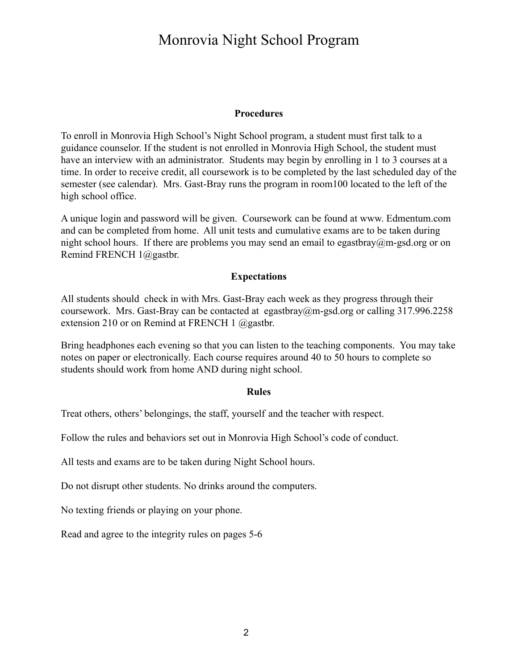#### **Procedures**

To enroll in Monrovia High School's Night School program, a student must first talk to a guidance counselor. If the student is not enrolled in Monrovia High School, the student must have an interview with an administrator. Students may begin by enrolling in 1 to 3 courses at a time. In order to receive credit, all coursework is to be completed by the last scheduled day of the semester (see calendar). Mrs. Gast-Bray runs the program in room100 located to the left of the high school office.

A unique login and password will be given. Coursework can be found at www. Edmentum.com and can be completed from home. All unit tests and cumulative exams are to be taken during night school hours. If there are problems you may send an email to egastbray@m-gsd.org or on Remind FRENCH 1@gastbr.

### **Expectations**

All students should check in with Mrs. Gast-Bray each week as they progress through their coursework. Mrs. Gast-Bray can be contacted at egastbray@m-gsd.org or calling 317.996.2258 extension 210 or on Remind at FRENCH 1 @gastbr.

Bring headphones each evening so that you can listen to the teaching components. You may take notes on paper or electronically. Each course requires around 40 to 50 hours to complete so students should work from home AND during night school.

#### **Rules**

Treat others, others' belongings, the staff, yourself and the teacher with respect.

Follow the rules and behaviors set out in Monrovia High School's code of conduct.

All tests and exams are to be taken during Night School hours.

Do not disrupt other students. No drinks around the computers.

No texting friends or playing on your phone.

Read and agree to the integrity rules on pages 5-6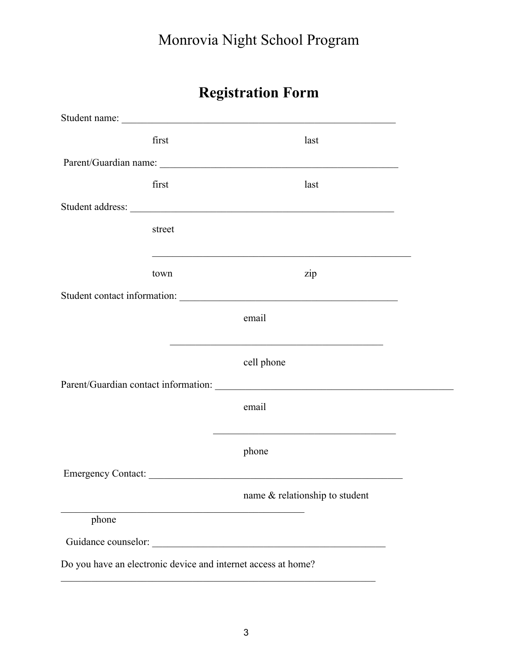|                     |        | <b>Registration Form</b>                                                                                              |
|---------------------|--------|-----------------------------------------------------------------------------------------------------------------------|
|                     |        |                                                                                                                       |
|                     | first  | last                                                                                                                  |
|                     |        |                                                                                                                       |
|                     | first  | last                                                                                                                  |
|                     |        |                                                                                                                       |
|                     | street |                                                                                                                       |
|                     |        |                                                                                                                       |
|                     | town   | zip                                                                                                                   |
|                     |        |                                                                                                                       |
|                     |        | email                                                                                                                 |
|                     |        | <u> 1989 - Johann John Stein, market fan de Amerikaanske kommunister oant it fan de Amerikaanske kommunister fan </u> |
|                     |        | cell phone                                                                                                            |
|                     |        |                                                                                                                       |
|                     |        | email                                                                                                                 |
|                     |        |                                                                                                                       |
|                     |        | phone                                                                                                                 |
| Emergency Contact:  |        |                                                                                                                       |
|                     |        | name & relationship to student                                                                                        |
| phone               |        |                                                                                                                       |
| Guidance counselor: |        |                                                                                                                       |

Do you have an electronic device and internet access at home?

 $\mathcal{L}_\text{max}$  and the contract of the contract of the contract of the contract of the contract of the contract of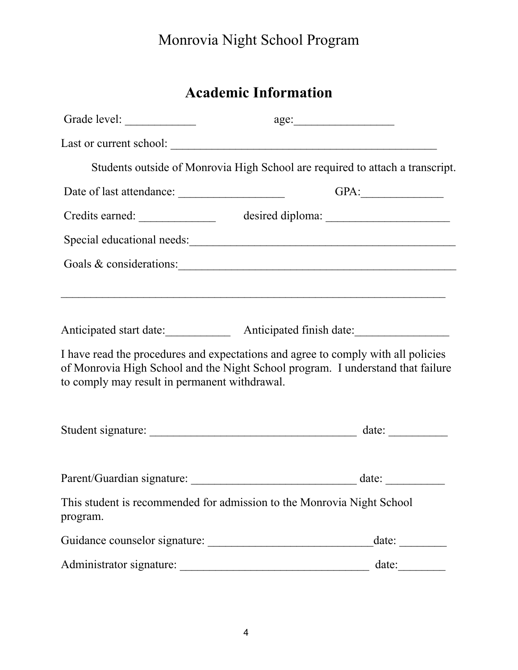| <b>Academic Information</b> |
|-----------------------------|
|                             |

|                                               | age:                                                                                                                                                                 |
|-----------------------------------------------|----------------------------------------------------------------------------------------------------------------------------------------------------------------------|
|                                               |                                                                                                                                                                      |
|                                               | Students outside of Monrovia High School are required to attach a transcript.                                                                                        |
|                                               | GPA:                                                                                                                                                                 |
|                                               |                                                                                                                                                                      |
|                                               | Special educational needs:                                                                                                                                           |
|                                               | Goals & considerations:                                                                                                                                              |
|                                               |                                                                                                                                                                      |
| to comply may result in permanent withdrawal. | I have read the procedures and expectations and agree to comply with all policies<br>of Monrovia High School and the Night School program. I understand that failure |
|                                               |                                                                                                                                                                      |
|                                               |                                                                                                                                                                      |
| program.                                      | This student is recommended for admission to the Monrovia Night School                                                                                               |
|                                               | date:                                                                                                                                                                |
|                                               | date:                                                                                                                                                                |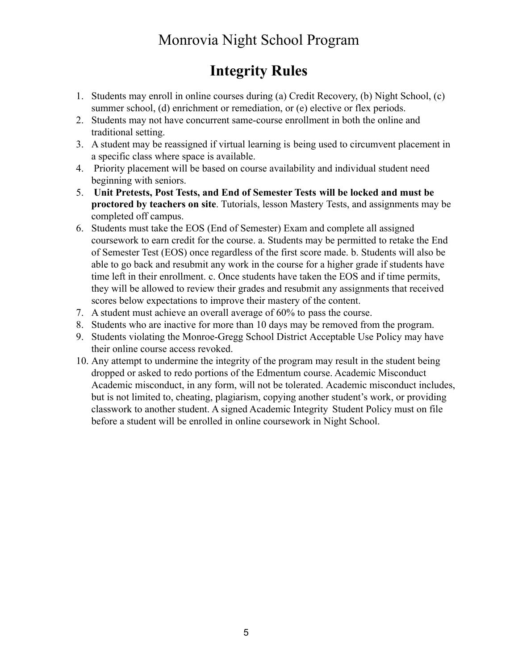## **Integrity Rules**

- 1. Students may enroll in online courses during (a) Credit Recovery, (b) Night School, (c) summer school, (d) enrichment or remediation, or (e) elective or flex periods.
- 2. Students may not have concurrent same-course enrollment in both the online and traditional setting.
- 3. A student may be reassigned if virtual learning is being used to circumvent placement in a specific class where space is available.
- 4. Priority placement will be based on course availability and individual student need beginning with seniors.
- 5. **Unit Pretests, Post Tests, and End of Semester Tests will be locked and must be proctored by teachers on site**. Tutorials, lesson Mastery Tests, and assignments may be completed off campus.
- 6. Students must take the EOS (End of Semester) Exam and complete all assigned coursework to earn credit for the course. a. Students may be permitted to retake the End of Semester Test (EOS) once regardless of the first score made. b. Students will also be able to go back and resubmit any work in the course for a higher grade if students have time left in their enrollment. c. Once students have taken the EOS and if time permits, they will be allowed to review their grades and resubmit any assignments that received scores below expectations to improve their mastery of the content.
- 7. A student must achieve an overall average of 60% to pass the course.
- 8. Students who are inactive for more than 10 days may be removed from the program.
- 9. Students violating the Monroe-Gregg School District Acceptable Use Policy may have their online course access revoked.
- 10. Any attempt to undermine the integrity of the program may result in the student being dropped or asked to redo portions of the Edmentum course. Academic Misconduct Academic misconduct, in any form, will not be tolerated. Academic misconduct includes, but is not limited to, cheating, plagiarism, copying another student's work, or providing classwork to another student. A signed Academic Integrity Student Policy must on file before a student will be enrolled in online coursework in Night School.